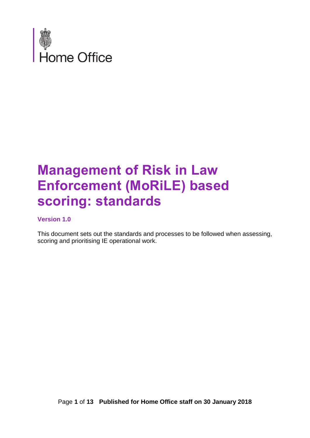

## **Management of Risk in Law Enforcement (MoRiLE) based scoring: standards**

#### **Version 1.0**

This document sets out the standards and processes to be followed when assessing, scoring and prioritising IE operational work.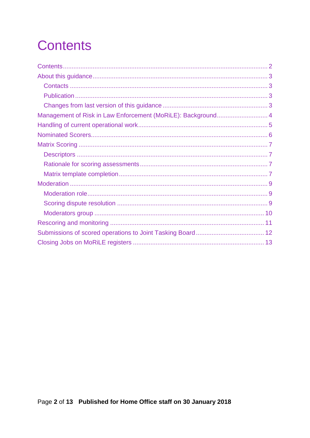# <span id="page-1-0"></span>**Contents**

| Management of Risk in Law Enforcement (MoRiLE): Background 4 |  |
|--------------------------------------------------------------|--|
|                                                              |  |
|                                                              |  |
|                                                              |  |
|                                                              |  |
|                                                              |  |
|                                                              |  |
|                                                              |  |
|                                                              |  |
|                                                              |  |
|                                                              |  |
|                                                              |  |
|                                                              |  |
|                                                              |  |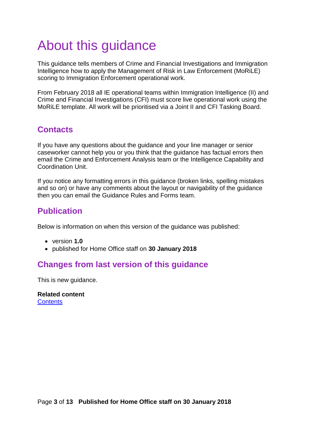# <span id="page-2-0"></span>About this guidance

This guidance tells members of Crime and Financial Investigations and Immigration Intelligence how to apply the Management of Risk in Law Enforcement (MoRiLE) scoring to Immigration Enforcement operational work.

From February 2018 all IE operational teams within Immigration Intelligence (II) and Crime and Financial Investigations (CFI) must score live operational work using the MoRiLE template. All work will be prioritised via a Joint II and CFI Tasking Board.

### <span id="page-2-1"></span>**Contacts**

If you have any questions about the guidance and your line manager or senior caseworker cannot help you or you think that the guidance has factual errors then email the Crime and Enforcement Analysis team or the Intelligence Capability and Coordination Unit.

If you notice any formatting errors in this guidance (broken links, spelling mistakes and so on) or have any comments about the layout or navigability of the guidance then you can email the Guidance Rules and Forms team.

#### <span id="page-2-2"></span>**Publication**

Below is information on when this version of the guidance was published:

- version **1.0**
- published for Home Office staff on **30 January 2018**

### <span id="page-2-3"></span>**Changes from last version of this guidance**

This is new guidance.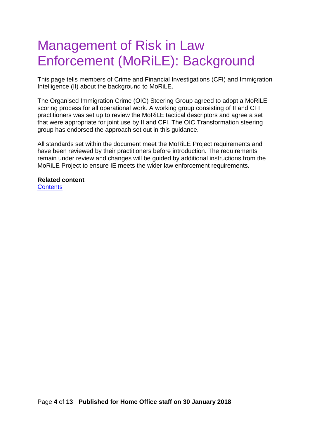### <span id="page-3-0"></span>Management of Risk in Law Enforcement (MoRiLE): Background

This page tells members of Crime and Financial Investigations (CFI) and Immigration Intelligence (II) about the background to MoRiLE.

The Organised Immigration Crime (OIC) Steering Group agreed to adopt a MoRiLE scoring process for all operational work. A working group consisting of II and CFI practitioners was set up to review the MoRiLE tactical descriptors and agree a set that were appropriate for joint use by II and CFI. The OIC Transformation steering group has endorsed the approach set out in this guidance.

All standards set within the document meet the MoRiLE Project requirements and have been reviewed by their practitioners before introduction. The requirements remain under review and changes will be guided by additional instructions from the MoRiLE Project to ensure IE meets the wider law enforcement requirements.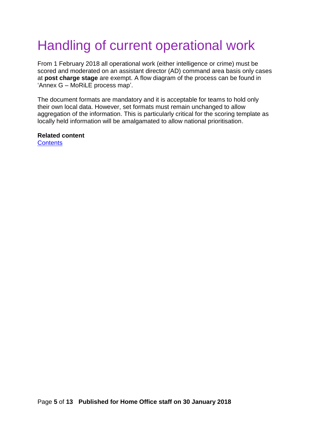# <span id="page-4-0"></span>Handling of current operational work

From 1 February 2018 all operational work (either intelligence or crime) must be scored and moderated on an assistant director (AD) command area basis only cases at **post charge stage** are exempt. A flow diagram of the process can be found in 'Annex G – MoRiLE process map'.

The document formats are mandatory and it is acceptable for teams to hold only their own local data. However, set formats must remain unchanged to allow aggregation of the information. This is particularly critical for the scoring template as locally held information will be amalgamated to allow national prioritisation.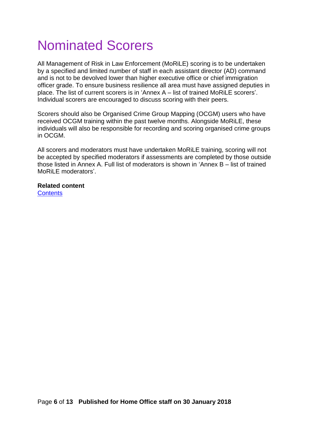## <span id="page-5-0"></span>Nominated Scorers

All Management of Risk in Law Enforcement (MoRiLE) scoring is to be undertaken by a specified and limited number of staff in each assistant director (AD) command and is not to be devolved lower than higher executive office or chief immigration officer grade. To ensure business resilience all area must have assigned deputies in place. The list of current scorers is in 'Annex A – list of trained MoRiLE scorers'. Individual scorers are encouraged to discuss scoring with their peers.

Scorers should also be Organised Crime Group Mapping (OCGM) users who have received OCGM training within the past twelve months. Alongside MoRiLE, these individuals will also be responsible for recording and scoring organised crime groups in OCGM.

All scorers and moderators must have undertaken MoRiLE training, scoring will not be accepted by specified moderators if assessments are completed by those outside those listed in Annex A. Full list of moderators is shown in 'Annex B – list of trained MoRil F moderators'.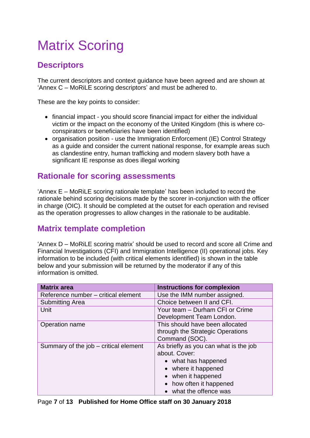# <span id="page-6-0"></span>Matrix Scoring

### <span id="page-6-1"></span>**Descriptors**

The current descriptors and context guidance have been agreed and are shown at 'Annex C – MoRiLE scoring descriptors' and must be adhered to.

These are the key points to consider:

- financial impact you should score financial impact for either the individual victim or the impact on the economy of the United Kingdom (this is where coconspirators or beneficiaries have been identified)
- organisation position use the Immigration Enforcement (IE) Control Strategy as a guide and consider the current national response, for example areas such as clandestine entry, human trafficking and modern slavery both have a significant IE response as does illegal working

#### <span id="page-6-2"></span>**Rationale for scoring assessments**

'Annex E – MoRiLE scoring rationale template' has been included to record the rationale behind scoring decisions made by the scorer in-conjunction with the officer in charge (OIC). It should be completed at the outset for each operation and revised as the operation progresses to allow changes in the rationale to be auditable.

#### <span id="page-6-3"></span>**Matrix template completion**

'Annex D – MoRiLE scoring matrix' should be used to record and score all Crime and Financial Investigations (CFI) and Immigration Intelligence (II) operational jobs. Key information to be included (with critical elements identified) is shown in the table below and your submission will be returned by the moderator if any of this information is omitted.

| <b>Matrix area</b>                    | <b>Instructions for complexion</b>    |
|---------------------------------------|---------------------------------------|
|                                       |                                       |
| Reference number - critical element   | Use the IMM number assigned.          |
| <b>Submitting Area</b>                | Choice between II and CFI.            |
| Unit                                  | Your team - Durham CFI or Crime       |
|                                       | Development Team London.              |
| Operation name                        | This should have been allocated       |
|                                       | through the Strategic Operations      |
|                                       | Command (SOC).                        |
| Summary of the job – critical element | As briefly as you can what is the job |
|                                       | about. Cover:                         |
|                                       | • what has happened                   |
|                                       | • where it happened                   |
|                                       | • when it happened                    |
|                                       | • how often it happened               |
|                                       | • what the offence was                |

Page **7** of **13 Published for Home Office staff on 30 January 2018**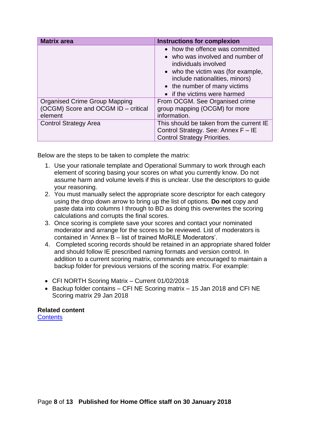| <b>Matrix area</b>                                                                     | <b>Instructions for complexion</b>                                                                                                                                                                                                  |
|----------------------------------------------------------------------------------------|-------------------------------------------------------------------------------------------------------------------------------------------------------------------------------------------------------------------------------------|
|                                                                                        | • how the offence was committed<br>• who was involved and number of<br>individuals involved<br>• who the victim was (for example,<br>include nationalities, minors)<br>• the number of many victims<br>• if the victims were harmed |
| <b>Organised Crime Group Mapping</b><br>(OCGM) Score and OCGM ID - critical<br>element | From OCGM. See Organised crime<br>group mapping (OCGM) for more<br>information.                                                                                                                                                     |
| <b>Control Strategy Area</b>                                                           | This should be taken from the current IE<br>Control Strategy. See: Annex F - IE<br><b>Control Strategy Priorities.</b>                                                                                                              |

Below are the steps to be taken to complete the matrix:

- 1. Use your rationale template and Operational Summary to work through each element of scoring basing your scores on what you currently know. Do not assume harm and volume levels if this is unclear. Use the descriptors to guide your reasoning.
- 2. You must manually select the appropriate score descriptor for each category using the drop down arrow to bring up the list of options. **Do not** copy and paste data into columns I through to BD as doing this overwrites the scoring calculations and corrupts the final scores.
- 3. Once scoring is complete save your scores and contact your nominated moderator and arrange for the scores to be reviewed. List of moderators is contained in 'Annex B – list of trained MoRiLE Moderators'.
- 4. Completed scoring records should be retained in an appropriate shared folder and should follow IE prescribed naming formats and version control. In addition to a current scoring matrix, commands are encouraged to maintain a backup folder for previous versions of the scoring matrix. For example:
- CFI NORTH Scoring Matrix Current 01/02/2018
- Backup folder contains CFI NE Scoring matrix 15 Jan 2018 and CFI NE Scoring matrix 29 Jan 2018

#### **Related content**

**[Contents](#page-1-0)**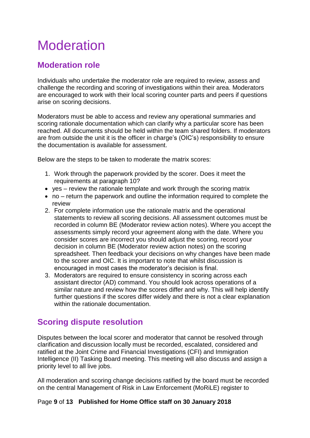## <span id="page-8-0"></span>**Moderation**

#### <span id="page-8-1"></span>**Moderation role**

Individuals who undertake the moderator role are required to review, assess and challenge the recording and scoring of investigations within their area. Moderators are encouraged to work with their local scoring counter parts and peers if questions arise on scoring decisions.

Moderators must be able to access and review any operational summaries and scoring rationale documentation which can clarify why a particular score has been reached. All documents should be held within the team shared folders. If moderators are from outside the unit it is the officer in charge's (OIC's) responsibility to ensure the documentation is available for assessment.

Below are the steps to be taken to moderate the matrix scores:

- 1. Work through the paperwork provided by the scorer. Does it meet the requirements at paragraph 10?
- yes review the rationale template and work through the scoring matrix
- no return the paperwork and outline the information required to complete the review
- 2. For complete information use the rationale matrix and the operational statements to review all scoring decisions. All assessment outcomes must be recorded in column BE (Moderator review action notes). Where you accept the assessments simply record your agreement along with the date. Where you consider scores are incorrect you should adjust the scoring, record your decision in column BE (Moderator review action notes) on the scoring spreadsheet. Then feedback your decisions on why changes have been made to the scorer and OIC. It is important to note that whilst discussion is encouraged in most cases the moderator's decision is final.
- 3. Moderators are required to ensure consistency in scoring across each assistant director (AD) command. You should look across operations of a similar nature and review how the scores differ and why. This will help identify further questions if the scores differ widely and there is not a clear explanation within the rationale documentation.

### <span id="page-8-2"></span>**Scoring dispute resolution**

Disputes between the local scorer and moderator that cannot be resolved through clarification and discussion locally must be recorded, escalated, considered and ratified at the Joint Crime and Financial Investigations (CFI) and Immigration Intelligence (II) Tasking Board meeting. This meeting will also discuss and assign a priority level to all live jobs.

All moderation and scoring change decisions ratified by the board must be recorded on the central Management of Risk in Law Enforcement (MoRiLE) register to

#### Page **9** of **13 Published for Home Office staff on 30 January 2018**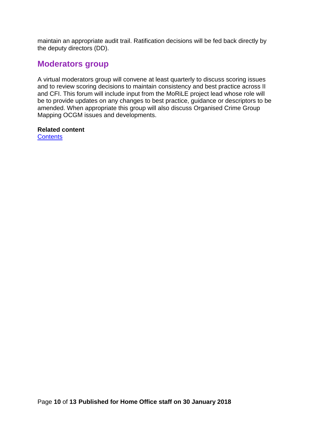maintain an appropriate audit trail. Ratification decisions will be fed back directly by the deputy directors (DD).

#### <span id="page-9-0"></span>**Moderators group**

A virtual moderators group will convene at least quarterly to discuss scoring issues and to review scoring decisions to maintain consistency and best practice across II and CFI. This forum will include input from the MoRiLE project lead whose role will be to provide updates on any changes to best practice, guidance or descriptors to be amended. When appropriate this group will also discuss Organised Crime Group Mapping OCGM issues and developments.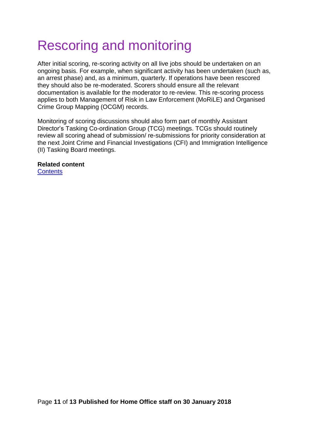## <span id="page-10-0"></span>Rescoring and monitoring

After initial scoring, re-scoring activity on all live jobs should be undertaken on an ongoing basis. For example, when significant activity has been undertaken (such as, an arrest phase) and, as a minimum, quarterly. If operations have been rescored they should also be re-moderated. Scorers should ensure all the relevant documentation is available for the moderator to re-review. This re-scoring process applies to both Management of Risk in Law Enforcement (MoRiLE) and Organised Crime Group Mapping (OCGM) records.

Monitoring of scoring discussions should also form part of monthly Assistant Director's Tasking Co-ordination Group (TCG) meetings. TCGs should routinely review all scoring ahead of submission/ re-submissions for priority consideration at the next Joint Crime and Financial Investigations (CFI) and Immigration Intelligence (II) Tasking Board meetings.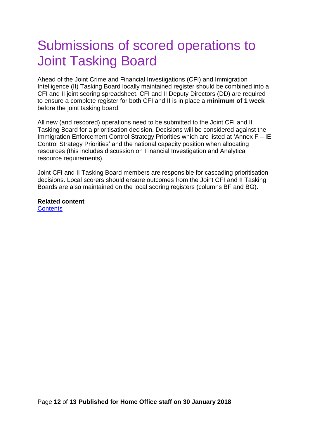### <span id="page-11-0"></span>Submissions of scored operations to Joint Tasking Board

Ahead of the Joint Crime and Financial Investigations (CFI) and Immigration Intelligence (II) Tasking Board locally maintained register should be combined into a CFI and II joint scoring spreadsheet. CFI and II Deputy Directors (DD) are required to ensure a complete register for both CFI and II is in place a **minimum of 1 week** before the joint tasking board.

All new (and rescored) operations need to be submitted to the Joint CFI and II Tasking Board for a prioritisation decision. Decisions will be considered against the Immigration Enforcement Control Strategy Priorities which are listed at 'Annex F – IE Control Strategy Priorities' and the national capacity position when allocating resources (this includes discussion on Financial Investigation and Analytical resource requirements).

Joint CFI and II Tasking Board members are responsible for cascading prioritisation decisions. Local scorers should ensure outcomes from the Joint CFI and II Tasking Boards are also maintained on the local scoring registers (columns BF and BG).